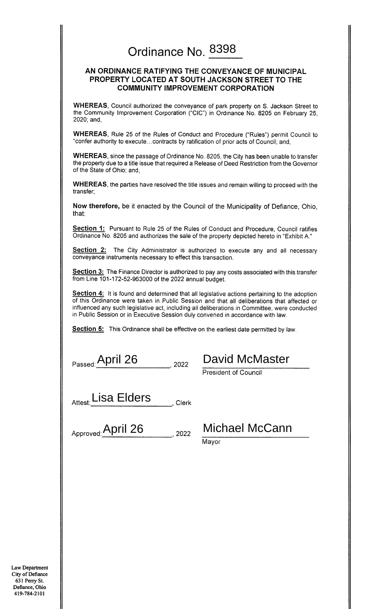## Ordinance No. 8398

### AN ORDINANCE RATIFYING THE CONVEYANCE OF MUNICIPAL PROPERTY LOCATED AT SOUTH JACKSON STREET TO THE **COMMUNITY IMPROVEMENT CORPORATION**

WHEREAS, Council authorized the conveyance of park property on S. Jackson Street to the Community Improvement Corporation ("CIC") in Ordinance No. 8205 on February 25, 2020; and,

WHEREAS, Rule 25 of the Rules of Conduct and Procedure ("Rules") permit Council to "confer authority to execute...contracts by ratification of prior acts of Council; and,

**WHEREAS**, since the passage of Ordinance No. 8205, the City has been unable to transfer the property due to a title issue that required a Release of Deed Restriction from the Governor of the State of Ohio; and,

**WHEREAS**, the parties have resolved the title issues and remain willing to proceed with the transfer;

Now therefore, be it enacted by the Council of the Municipality of Defiance, Ohio, that:

Section 1: Pursuant to Rule 25 of the Rules of Conduct and Procedure, Council ratifies Ordinance No. 8205 and authorizes the sale of the property depicted hereto in "Exhibit A."

Section 2: The City Administrator is authorized to execute any and all necessary conveyance instruments necessary to effect this transaction.

**Section 3:** The Finance Director is authorized to pay any costs associated with this transfer from Line 101-172-52-963000 of the 2022 annual budget.

Section 4: It is found and determined that all legislative actions pertaining to the adoption of this Ordinance were taken in Public Session and that all deliberations that affected or influenced any such legislative act, including all deliberations in Committee, were conducted in Public Session or in Executive Session duly convened in accordance with law.

Section 5: This Ordinance shall be effective on the earliest date permitted by law.

Passed: April 26 2022

David McMaster

President of Council

Attest: Lisa Elders  $\frac{1}{2}$ , Clerk

| Approved: April 26 | . 2022 |
|--------------------|--------|
|--------------------|--------|

Michael McCann

Mayor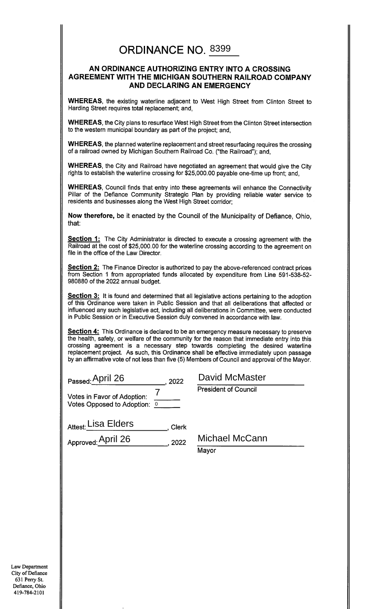### **ORDINANCE NO. 8399**

### AN ORDINANCE AUTHORIZING ENTRY INTO A CROSSING AGREEMENT WITH THE MICHIGAN SOUTHERN RAILROAD COMPANY AND DECLARING AN EMERGENCY

WHEREAS, the existing waterline adjacent to West High Street from Clinton Street to Harding Street requires total replacement; and,

WHEREAS, the City plans to resurface West High Street from the Clinton Street intersection to the western municipal boundary as part of the project; and,

WHEREAS, the planned waterline replacement and street resurfacing requires the crossing of a railroad owned by Michigan Southern Railroad Co. ("the Railroad"); and,

WHEREAS, the City and Railroad have negotiated an agreement that would give the City rights to establish the waterline crossing for \$25,000.00 payable one-time up front; and,

**WHEREAS, Council finds that entry into these agreements will enhance the Connectivity** Pillar of the Defiance Community Strategic Plan by providing reliable water service to residents and businesses along the West High Street corridor;

Now therefore, be it enacted by the Council of the Municipality of Defiance. Ohio. that:

**Section 1:** The City Administrator is directed to execute a crossing agreement with the Railroad at the cost of \$25,000.00 for the waterline crossing according to the agreement on file in the office of the Law Director.

**Section 2:** The Finance Director is authorized to pay the above-referenced contract prices from Section 1 from appropriated funds allocated by expenditure from Line 591-538-52-980880 of the 2022 annual budget.

**Section 3:** It is found and determined that all legislative actions pertaining to the adoption of this Ordinance were taken in Public Session and that all deliberations that affected or influenced any such legislative act, including all deliberations in Committee, were conducted in Public Session or in Executive Session duly convened in accordance with law.

Section 4: This Ordinance is declared to be an emergency measure necessary to preserve the health, safety, or welfare of the community for the reason that immediate entry into this crossing agreement is a necessary step towards completing the desired waterline<br>replacement project. As such, this Ordinance shall be effective immediately upon passage by an affirmative vote of not less than five (5) Members of Council and approval of the Mayor.

Passed: April 26 (2022)

 $\overline{7}$ Votes in Favor of Adoption: Votes Opposed to Adoption: 0

| David McMaster              |
|-----------------------------|
| <b>President of Council</b> |

Attest: Lisa Elders \_\_\_\_\_\_\_, Clerk

Approved: April 26 (2022)

Michael McCann

Mayor

Law Department City of Defiance 631 Perry St. Defiance, Ohio 419-784-2101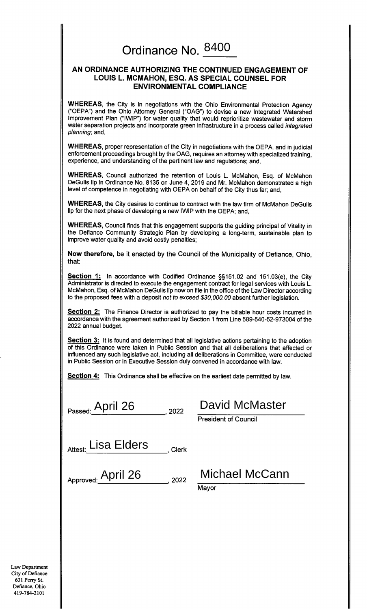# Ordinance No. 8400

### AN ORDINANCE AUTHORIZING THE CONTINUED ENGAGEMENT OF LOUIS L. MCMAHON, ESQ. AS SPECIAL COUNSEL FOR **ENVIRONMENTAL COMPLIANCE**

WHEREAS, the City is in negotiations with the Ohio Environmental Protection Agency ("OEPA") and the Ohio Attorney General ("OAG") to devise a new Integrated Watershed Improvement Plan ("IWIP") for water quality that would reprioritize wastewater and storm water separation projects and incorporate green infrastructure in a process called integrated planning; and,

WHEREAS, proper representation of the City in negotiations with the OEPA, and in judicial enforcement proceedings brought by the OAG, requires an attorney with specialized training, experience, and understanding of the pertinent law and regulations; and,

WHEREAS, Council authorized the retention of Louis L. McMahon, Esq. of McMahon DeGulis Ilp in Ordinance No. 8135 on June 4, 2019 and Mr. McMahon demonstrated a high level of competence in negotiating with OEPA on behalf of the City thus far; and,

WHEREAS, the City desires to continue to contract with the law firm of McMahon DeGulis lip for the next phase of developing a new IWIP with the OEPA; and,

WHEREAS, Council finds that this engagement supports the guiding principal of Vitality in the Defiance Community Strategic Plan by developing a long-term, sustainable plan to improve water quality and avoid costly penalties;

Now therefore, be it enacted by the Council of the Municipality of Defiance, Ohio, that:

Section 1: In accordance with Codified Ordinance §§151.02 and 151.03(e), the City Administrator is directed to execute the engagement contract for legal services with Louis L. McMahon, Esq. of McMahon DeGulis IIp now on file in the office of the Law Director according to the proposed fees with a deposit not to exceed \$30,000.00 absent further legislation.

Section 2: The Finance Director is authorized to pay the billable hour costs incurred in accordance with the agreement authorized by Section 1 from Line 589-540-52-973004 of the 2022 annual budget.

Section 3: It is found and determined that all legislative actions pertaining to the adoption of this Ordinance were taken in Public Session and that all deliberations that affected or influenced any such legislative act, including all deliberations in Committee, were conducted in Public Session or in Executive Session duly convened in accordance with law.

**Section 4:** This Ordinance shall be effective on the earliest date permitted by law.

| Passed: April 26 | . 2022 |
|------------------|--------|
|------------------|--------|

David McMaster

**President of Council** 

| Attest: Lisa Elders | Clerk |
|---------------------|-------|
|---------------------|-------|

Approved: April 26  $.2022$  Michael McCann

Mayor

**Law Department** City of Defiance 631 Perry St. Defiance, Ohio 419-784-2101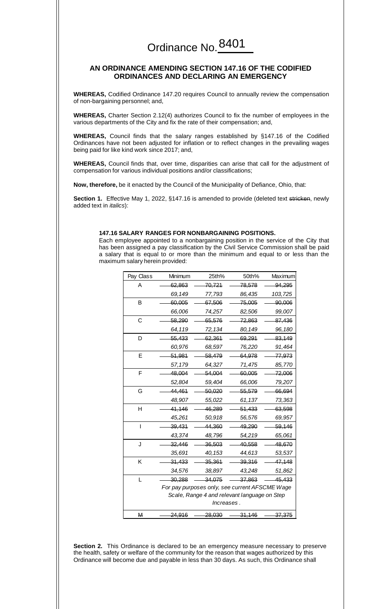### **AN ORDINANCE AMENDING SECTION 147.16 OF THE CODIFIED ORDINANCES AND DECLARING AN EMERGENCY**

**WHEREAS,** Codified Ordinance 147.20 requires Council to annually review the compensation of non-bargaining personnel; and,

**WHEREAS,** Charter Section 2.12(4) authorizes Council to fix the number of employees in the various departments of the City and fix the rate of their compensation; and,

**WHEREAS,** Council finds that the salary ranges established by §147.16 of the Codified Ordinances have not been adjusted for inflation or to reflect changes in the prevailing wages being paid for like kind work since 2017; and,

**WHEREAS,** Council finds that, over time, disparities can arise that call for the adjustment of compensation for various individual positions and/or classifications;

**Now, therefore,** be it enacted by the Council of the Municipality of Defiance, Ohio, that:

**Section 1.** Effective May 1, 2022, §147.16 is amended to provide (deleted text stricken, newly added text in *italics*):

#### **147.16 SALARY RANGES FOR NONBARGAINING POSITIONS.**

Each employee appointed to a nonbargaining position in the service of the City that has been assigned a pay classification by the Civil Service Commission shall be paid a salary that is equal to or more than the minimum and equal to or less than the maximum salary herein provided:

| Pay Class | Minimum                                        | 25th%                                        | 50th%         | Maximum           |  |
|-----------|------------------------------------------------|----------------------------------------------|---------------|-------------------|--|
| Α         | 62,863                                         | 70,721                                       | 78,578        | 94,295            |  |
|           | 69,149                                         | 77,793                                       | 86,435        | 103,725           |  |
| B         | 60,005                                         | 67,506                                       | 75,005        | 90,006            |  |
|           | 66,006                                         | 74,257                                       | 82,506        | 99,007            |  |
| C         | 58,290                                         | 65,576                                       | 72,863        | 87,436            |  |
|           | 64,119                                         | 72,134                                       | 80,149        | 96,180            |  |
| D         | 55,433                                         | 62,361                                       | 69,291        | 83,149            |  |
|           | 60,976                                         | 68,597                                       | 76,220        | 91,464            |  |
| E         | 51,981                                         | 58,479                                       | 64,978        | <del>77,973</del> |  |
|           | 57,179                                         | 64,327                                       | 71,475        | 85,770            |  |
| F         | 48,004                                         | 54,004                                       | 60,005        | 72,006            |  |
|           | 52,804                                         | 59,404                                       | 66,006        | 79,207            |  |
| G         | 44,461                                         | 50,020                                       | 55,579        | 66,694            |  |
|           | 48,907                                         | 55,022                                       | 61,137        | 73,363            |  |
| Η         | 41,146                                         | 46,289                                       | 51,433        | 63,598            |  |
|           | 45,261                                         | 50,918                                       | 56,576        | 69,957            |  |
| ı         | 39,431                                         | 44,360                                       | <u>49,290</u> | 59.146            |  |
|           | 43,374                                         | 48,796                                       | 54,219        | 65,061            |  |
| J         | 32,446                                         | 36,503                                       | 40,558        | 48,670            |  |
|           | 35,691                                         | 40,153                                       | 44,613        | 53,537            |  |
| K         | 31,433                                         | <del>35,361</del>                            | 39,316        | 47,148            |  |
|           | 34,576                                         | 38,897                                       | 43,248        | 51,862            |  |
| L         | 30,288                                         | 34,075                                       | 37,863        | 45,433            |  |
|           | For pay purposes only, see current AFSCME Wage |                                              |               |                   |  |
|           |                                                | Scale, Range 4 and relevant language on Step |               |                   |  |
|           | lncreases.                                     |                                              |               |                   |  |
| М         | 24,916                                         | 28,030                                       | 31,146        | 37,375            |  |

**Section 2.** This Ordinance is declared to be an emergency measure necessary to preserve the health, safety or welfare of the community for the reason that wages authorized by this Ordinance will become due and payable in less than 30 days. As such, this Ordinance shall